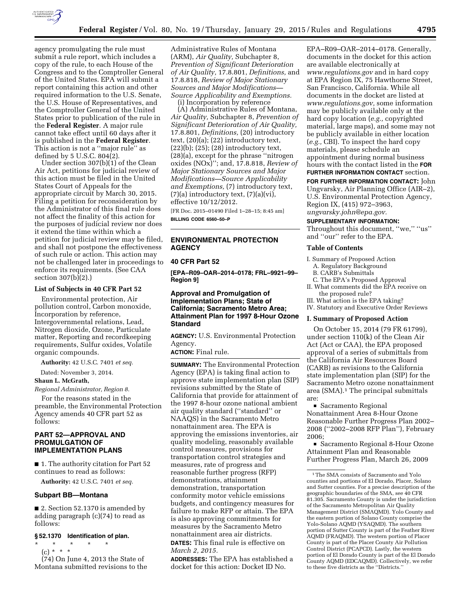

agency promulgating the rule must submit a rule report, which includes a copy of the rule, to each House of the Congress and to the Comptroller General of the United States. EPA will submit a report containing this action and other required information to the U.S. Senate, the U.S. House of Representatives, and the Comptroller General of the United States prior to publication of the rule in the **Federal Register**. A major rule cannot take effect until 60 days after it is published in the **Federal Register**. This action is not a ''major rule'' as defined by 5 U.S.C. 804(2).

Under section 307(b)(1) of the Clean Air Act, petitions for judicial review of this action must be filed in the United States Court of Appeals for the appropriate circuit by March 30, 2015. Filing a petition for reconsideration by the Administrator of this final rule does not affect the finality of this action for the purposes of judicial review nor does it extend the time within which a petition for judicial review may be filed, and shall not postpone the effectiveness of such rule or action. This action may not be challenged later in proceedings to enforce its requirements. (See CAA section 307(b)(2).)

### **List of Subjects in 40 CFR Part 52**

Environmental protection, Air pollution control, Carbon monoxide, Incorporation by reference, Intergovernmental relations, Lead, Nitrogen dioxide, Ozone, Particulate matter, Reporting and recordkeeping requirements, Sulfur oxides, Volatile organic compounds.

**Authority:** 42 U.S.C. 7401 *et seq.* 

Dated: November 3, 2014.

## **Shaun L. McGrath,**

*Regional Administrator, Region 8.* 

For the reasons stated in the preamble, the Environmental Protection Agency amends 40 CFR part 52 as follows:

# **PART 52—APPROVAL AND PROMULGATION OF IMPLEMENTATION PLANS**

■ 1. The authority citation for Part 52 continues to read as follows:

**Authority:** 42 U.S.C. 7401 *et seq.* 

### **Subpart BB—Montana**

■ 2. Section 52.1370 is amended by adding paragraph (c)(74) to read as follows:

#### **§ 52.1370 Identification of plan.**

\* \* \* \* \* (c) \* \* \*

(74) On June 4, 2013 the State of Montana submitted revisions to the

Administrative Rules of Montana (ARM), *Air Quality,* Subchapter 8, *Prevention of Significant Deterioration of Air Quality,* 17.8.801, *Definitions,* and 17.8.818, *Review of Major Stationary Sources and Major Modifications— Source Applicability and Exemptions.* 

(i) Incorporation by reference

(A) Administrative Rules of Montana, *Air Quality,* Subchapter 8, *Prevention of Significant Deterioration of Air Quality,*  17.8.801, *Definitions,* (20) introductory text, (20)(a); (22) introductory text, (22)(b); (25); (28) introductory text, (28)(a), except for the phrase ''nitrogen oxides (NOx)''; and, 17.8.818, *Review of Major Stationary Sources and Major Modifications—Source Applicability and Exemptions,* (7) introductory text,  $(7)(a)$  introductory text,  $(7)(a)(vi)$ , effective 10/12/2012. [FR Doc. 2015–01490 Filed 1–28–15; 8:45 am]

**BILLING CODE 6560–50–P** 

# **ENVIRONMENTAL PROTECTION AGENCY**

## **40 CFR Part 52**

**[EPA–R09–OAR–2014–0178; FRL–9921–99– Region 9]** 

# **Approval and Promulgation of Implementation Plans; State of California; Sacramento Metro Area; Attainment Plan for 1997 8-Hour Ozone Standard**

**AGENCY:** U.S. Environmental Protection Agency.

**ACTION:** Final rule.

**SUMMARY:** The Environmental Protection Agency (EPA) is taking final action to approve state implementation plan (SIP) revisions submitted by the State of California that provide for attainment of the 1997 8-hour ozone national ambient air quality standard (''standard'' or NAAQS) in the Sacramento Metro nonattainment area. The EPA is approving the emissions inventories, air quality modeling, reasonably available control measures, provisions for transportation control strategies and measures, rate of progress and reasonable further progress (RFP) demonstrations, attainment demonstration, transportation conformity motor vehicle emissions budgets, and contingency measures for failure to make RFP or attain. The EPA is also approving commitments for measures by the Sacramento Metro nonattainment area air districts. **DATES:** This final rule is effective on *March 2, 2015.* 

**ADDRESSES:** The EPA has established a docket for this action: Docket ID No.

EPA–R09–OAR–2014–0178. Generally, documents in the docket for this action are available electronically at *[www.regulations.gov](http://www.regulations.gov)* and in hard copy at EPA Region IX, 75 Hawthorne Street, San Francisco, California. While all documents in the docket are listed at *[www.regulations.gov,](http://www.regulations.gov)* some information may be publicly available only at the hard copy location (*e.g.,* copyrighted material, large maps), and some may not be publicly available in either location (*e.g.,* CBI). To inspect the hard copy materials, please schedule an appointment during normal business hours with the contact listed in the **FOR**

**FURTHER INFORMATION CONTACT** section.

**FOR FURTHER INFORMATION CONTACT:** John Ungvarsky, Air Planning Office (AIR–2), U.S. Environmental Protection Agency, Region IX, (415) 972–3963, *[ungvarsky.john@epa.gov.](mailto:ungvarsky.john@epa.gov)* 

#### **SUPPLEMENTARY INFORMATION:**

Throughout this document, ''we,'' ''us'' and ''our'' refer to the EPA.

## **Table of Contents**

I. Summary of Proposed Action

- A. Regulatory Background
- B. CARB's Submittals

C. The EPA's Proposed Approval II. What comments did the EPA receive on the proposed rule?

III. What action is the EPA taking? IV. Statutory and Executive Order Reviews

### **I. Summary of Proposed Action**

On October 15, 2014 (79 FR 61799), under section 110(k) of the Clean Air Act (Act or CAA), the EPA proposed approval of a series of submittals from the California Air Resources Board (CARB) as revisions to the California state implementation plan (SIP) for the Sacramento Metro ozone nonattainment area (SMA).1 The principal submittals are:

■ Sacramento Regional Nonattainment Area 8-Hour Ozone Reasonable Further Progress Plan 2002– 2008 (''2002–2008 RFP Plan''), February 2006;

■ Sacramento Regional 8-Hour Ozone Attainment Plan and Reasonable Further Progress Plan, March 26, 2009

<sup>1</sup>The SMA consists of Sacramento and Yolo counties and portions of El Dorado, Placer, Solano and Sutter counties. For a precise description of the geographic boundaries of the SMA, see 40 CFR 81.305. Sacramento County is under the jurisdiction of the Sacramento Metropolitan Air Quality Management District (SMAQMD). Yolo County and the eastern portion of Solano County comprise the Yolo-Solano AQMD (YSAQMD). The southern portion of Sutter County is part of the Feather River AQMD (FRAQMD). The western portion of Placer County is part of the Placer County Air Pollution Control District (PCAPCD). Lastly, the western portion of El Dorado County is part of the El Dorado County AQMD (EDCAQMD). Collectively, we refer to these five districts as the ''Districts.''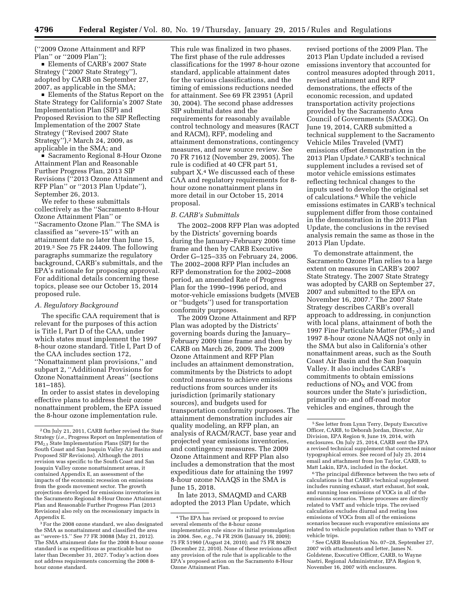(''2009 Ozone Attainment and RFP Plan'' or ''2009 Plan'');

■ Elements of CARB's 2007 State Strategy (''2007 State Strategy''), adopted by CARB on September 27, 2007, as applicable in the SMA;

■ Elements of the Status Report on the State Strategy for California's 2007 State Implementation Plan (SIP) and Proposed Revision to the SIP Reflecting Implementation of the 2007 State Strategy (''Revised 2007 State Strategy''),2 March 24, 2009, as applicable in the SMA; and

**B** Sacramento Regional 8-Hour Ozone Attainment Plan and Reasonable Further Progress Plan, 2013 SIP Revisions (''2013 Ozone Attainment and RFP Plan'' or ''2013 Plan Update''), September 26, 2013.

We refer to these submittals collectively as the ''Sacramento 8-Hour Ozone Attainment Plan'' or ''Sacramento Ozone Plan.'' The SMA is classified as ''severe-15'' with an attainment date no later than June 15, 2019.3 See 75 FR 24409. The following paragraphs summarize the regulatory background, CARB's submittals, and the EPA's rationale for proposing approval. For additional details concerning these topics, please see our October 15, 2014 proposed rule.

### *A. Regulatory Background*

The specific CAA requirement that is relevant for the purposes of this action is Title I, Part D of the CAA, under which states must implement the 1997 8-hour ozone standard. Title I, Part D of the CAA includes section 172, ''Nonattainment plan provisions,'' and subpart 2, ''Additional Provisions for Ozone Nonattainment Areas'' (sections 181–185).

In order to assist states in developing effective plans to address their ozone nonattainment problem, the EPA issued the 8-hour ozone implementation rule.

This rule was finalized in two phases. The first phase of the rule addresses classifications for the 1997 8-hour ozone standard, applicable attainment dates for the various classifications, and the timing of emissions reductions needed for attainment. See 69 FR 23951 (April 30, 2004). The second phase addresses SIP submittal dates and the requirements for reasonably available control technology and measures (RACT and RACM), RFP, modeling and attainment demonstrations, contingency measures, and new source review. See 70 FR 71612 (November 29, 2005). The rule is codified at 40 CFR part 51, subpart X.<sup>4</sup> We discussed each of these CAA and regulatory requirements for 8 hour ozone nonattainment plans in more detail in our October 15, 2014 proposal.

### *B. CARB's Submittals*

The 2002–2008 RFP Plan was adopted by the Districts' governing boards during the January–February 2006 time frame and then by CARB Executive Order G–125–335 on February 24, 2006. The 2002–2008 RFP Plan includes an RFP demonstration for the 2002–2008 period, an amended Rate of Progress Plan for the 1990–1996 period, and motor-vehicle emissions budgets (MVEB or ''budgets'') used for transportation conformity purposes.

The 2009 Ozone Attainment and RFP Plan was adopted by the Districts' governing boards during the January– February 2009 time frame and then by CARB on March 26, 2009. The 2009 Ozone Attainment and RFP Plan includes an attainment demonstration, commitments by the Districts to adopt control measures to achieve emissions reductions from sources under its jurisdiction (primarily stationary sources), and budgets used for transportation conformity purposes. The attainment demonstration includes air quality modeling, an RFP plan, an analysis of RACM/RACT, base year and projected year emissions inventories, and contingency measures. The 2009 Ozone Attainment and RFP Plan also includes a demonstration that the most expeditious date for attaining the 1997 8-hour ozone NAAQS in the SMA is June 15, 2018.

In late 2013, SMAQMD and CARB adopted the 2013 Plan Update, which revised portions of the 2009 Plan. The 2013 Plan Update included a revised emissions inventory that accounted for control measures adopted through 2011, revised attainment and RFP demonstrations, the effects of the economic recession, and updated transportation activity projections provided by the Sacramento Area Council of Governments (SACOG). On June 19, 2014, CARB submitted a technical supplement to the Sacramento Vehicle Miles Traveled (VMT) emissions offset demonstration in the 2013 Plan Update.5 CARB's technical supplement includes a revised set of motor vehicle emissions estimates reflecting technical changes to the inputs used to develop the original set of calculations.6 While the vehicle emissions estimates in CARB's technical supplement differ from those contained in the demonstration in the 2013 Plan Update, the conclusions in the revised analysis remain the same as those in the 2013 Plan Update.

To demonstrate attainment, the Sacramento Ozone Plan relies to a large extent on measures in CARB's 2007 State Strategy. The 2007 State Strategy was adopted by CARB on September 27, 2007 and submitted to the EPA on November 16, 2007.7 The 2007 State Strategy describes CARB's overall approach to addressing, in conjunction with local plans, attainment of both the 1997 Fine Particulate Matter  $(PM_{2.5})$  and 1997 8-hour ozone NAAQS not only in the SMA but also in California's other nonattainment areas, such as the South Coast Air Basin and the San Joaquin Valley. It also includes CARB's commitments to obtain emissions reductions of  $NO<sub>x</sub>$  and VOC from sources under the State's jurisdiction, primarily on- and off-road motor vehicles and engines, through the

6The principal difference between the two sets of calculations is that CARB's technical supplement includes running exhaust, start exhaust, hot soak, and running loss emissions of VOCs in all of the emissions scenarios. These processes are directly related to VMT and vehicle trips. The revised calculation excludes diurnal and resting loss emissions of VOCs from all of the emissions scenarios because such evaporative emissions are related to vehicle population rather than to VMT or vehicle trips.

7See CARB Resolution No. 07–28, September 27, 2007 with attachments and letter, James N. Goldstene, Executive Officer, CARB, to Wayne Nastri, Regional Administrator, EPA Region 9, November 16, 2007 with enclosures.

<sup>2</sup>On July 21, 2011, CARB further revised the State Strategy (*i.e.,* Progress Report on Implementation of PM2.5 State Implementation Plans (SIP) for the South Coast and San Joaquin Valley Air Basins and Proposed SIP Revisions). Although the 2011 revision was specific to the South Coast and San Joaquin Valley ozone nonattainment areas, it contained Appendix E, an assessment of the impacts of the economic recession on emissions from the goods movement sector. The growth projections developed for emissions inventories in the Sacramento Regional 8-Hour Ozone Attainment Plan and Reasonable Further Progress Plan (2013 Revisions) also rely on the recessionary impacts in Appendix E.

<sup>&</sup>lt;sup>3</sup> For the 2008 ozone standard, we also designated the SMA as nonattainment and classified the area as ''severe-15.'' See 77 FR 30088 (May 21, 2012). The SMA attainment date for the 2008 8-hour ozone standard is as expeditious as practicable but no later than December 31, 2027. Today's action does not address requirements concerning the 2008 8 hour ozone standard.

<sup>4</sup>The EPA has revised or proposed to revise several elements of the 8-hour ozone implementation rule since its initial promulgation in 2004. See, *e.g.,* 74 FR 2936 (January 16, 2009); 75 FR 51960 (August 24, 2010); and 75 FR 80420 (December 22, 2010). None of these revisions affect any provision of the rule that is applicable to the EPA's proposed action on the Sacramento 8-Hour Ozone Attainment Plan.

<sup>5</sup>See letter from Lynn Terry, Deputy Executive Officer, CARB, to Deborah Jordan, Director, Air Division, EPA Region 9, June 19, 2014, with enclosures. On July 25, 2014, CARB sent the EPA a revised technical supplement that corrected minor typographical errors. See record of July 25, 2014 email and attachment from Jon Taylor, CARB, to Matt Lakin, EPA, included in the docket.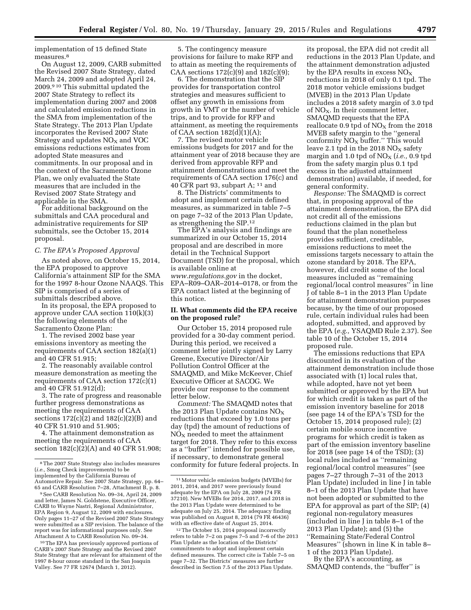implementation of 15 defined State measures.8

On August 12, 2009, CARB submitted the Revised 2007 State Strategy, dated March 24, 2009 and adopted April 24, 2009.9 10 This submittal updated the 2007 State Strategy to reflect its implementation during 2007 and 2008 and calculated emission reductions in the SMA from implementation of the State Strategy. The 2013 Plan Update incorporates the Revised 2007 State Strategy and updates  $NO<sub>X</sub>$  and  $VOC$ emissions reductions estimates from adopted State measures and commitments. In our proposal and in the context of the Sacramento Ozone Plan, we only evaluated the State measures that are included in the Revised 2007 State Strategy and applicable in the SMA.

For additional background on the submittals and CAA procedural and administrative requirements for SIP submittals, see the October 15, 2014 proposal.

### *C. The EPA's Proposed Approval*

As noted above, on October 15, 2014, the EPA proposed to approve California's attainment SIP for the SMA for the 1997 8-hour Ozone NAAQS. This SIP is comprised of a series of submittals described above.

In its proposal, the EPA proposed to approve under CAA section 110(k)(3) the following elements of the Sacramento Ozone Plan:

1. The revised 2002 base year emissions inventory as meeting the requirements of CAA section 182(a)(1) and 40 CFR 51.915;

2. The reasonably available control measure demonstration as meeting the requirements of CAA section 172(c)(1) and 40 CFR 51.912(d);

3. The rate of progress and reasonable further progress demonstrations as meeting the requirements of CAA sections 172(c)(2) and 182(c)(2)(B) and 40 CFR 51.910 and 51.905;

4. The attainment demonstration as meeting the requirements of CAA section 182(c)(2)(A) and 40 CFR 51.908;

10The EPA has previously approved portions of CARB's 2007 State Strategy and the Revised 2007 State Strategy that are relevant for attainment of the 1997 8-hour ozone standard in the San Joaquin Valley. See 77 FR 12674 (March 1, 2012).

5. The contingency measure provisions for failure to make RFP and to attain as meeting the requirements of CAA sections  $172(c)(9)$  and  $182(c)(9)$ ;

6. The demonstration that the SIP provides for transportation control strategies and measures sufficient to offset any growth in emissions from growth in VMT or the number of vehicle trips, and to provide for RFP and attainment, as meeting the requirements of CAA section  $182\text{ (d)}(1)\text{ (A)}$ ;

7. The revised motor vehicle emissions budgets for 2017 and for the attainment year of 2018 because they are derived from approvable RFP and attainment demonstrations and meet the requirements of CAA section 176(c) and 40 CFR part 93, subpart A; 11 and

8. The Districts' commitments to adopt and implement certain defined measures, as summarized in table 7–5 on page 7–32 of the 2013 Plan Update, as strengthening the SIP.12

The EPA's analysis and findings are summarized in our October 15, 2014 proposal and are described in more detail in the Technical Support Document (TSD) for the proposal, which is available online at *[www.regulations.gov](http://www.regulations.gov)* in the docket, EPA–R09–OAR–2014–0178, or from the EPA contact listed at the beginning of this notice.

## **II. What comments did the EPA receive on the proposed rule?**

Our October 15, 2014 proposed rule provided for a 30-day comment period. During this period, we received a comment letter jointly signed by Larry Greene, Executive Director/Air Pollution Control Officer at the SMAQMD, and Mike McKeever, Chief Executive Officer at SACOG. We provide our response to the comment letter below.

*Comment:* The SMAQMD notes that the 2013 Plan Update contains  $NO<sub>x</sub>$ reductions that exceed by 1.0 tons per day (tpd) the amount of reductions of  $NO<sub>x</sub>$  needed to meet the attainment target for 2018. They refer to this excess as a ''buffer'' intended for possible use, if necessary, to demonstrate general conformity for future federal projects. In

its proposal, the EPA did not credit all reductions in the 2013 Plan Update, and the attainment demonstration adjusted by the EPA results in excess  $NO<sub>x</sub>$ reductions in 2018 of only 0.1 tpd. The 2018 motor vehicle emissions budget (MVEB) in the 2013 Plan Update includes a 2018 safety margin of 3.0 tpd of  $NO<sub>X</sub>$ . In their comment letter, SMAQMD requests that the EPA reallocate 0.9 tpd of  $NO<sub>X</sub>$  from the 2018 MVEB safety margin to the ''general conformity  $NO_X$  buffer." This would leave 2.1 tpd in the 2018  $NO<sub>x</sub>$  safety margin and 1.0 tpd of  $NO<sub>X</sub>$  (*i.e.*, 0.9 tpd from the safety margin plus 0.1 tpd excess in the adjusted attainment demonstration) available, if needed, for general conformity.

*Response:* The SMAQMD is correct that, in proposing approval of the attainment demonstration, the EPA did not credit all of the emissions reductions claimed in the plan but found that the plan nonetheless provides sufficient, creditable, emissions reductions to meet the emissions targets necessary to attain the ozone standard by 2018. The EPA, however, did credit some of the local measures included as ''remaining regional/local control measures'' in line J of table 8–1 in the 2013 Plan Update for attainment demonstration purposes because, by the time of our proposed rule, certain individual rules had been adopted, submitted, and approved by the EPA (*e.g.,* YSAQMD Rule 2.37). See table 10 of the October 15, 2014 proposed rule.

The emissions reductions that EPA discounted in its evaluation of the attainment demonstration include those associated with (1) local rules that, while adopted, have not yet been submitted or approved by the EPA but for which credit is taken as part of the emission inventory baseline for 2018 (see page 14 of the EPA's TSD for the October 15, 2014 proposed rule); (2) certain mobile source incentive programs for which credit is taken as part of the emission inventory baseline for 2018 (see page 14 of the TSD); (3) local rules included as ''remaining regional/local control measures'' (see pages 7–27 through 7–31 of the 2013 Plan Update) included in line J in table 8–1 of the 2013 Plan Update that have not been adopted or submitted to the EPA for approval as part of the SIP; (4) regional non-regulatory measures (included in line J in table 8–1 of the 2013 Plan Update); and (5) the ''Remaining State/Federal Control Measures'' (shown in line K in table 8– 1 of the 2013 Plan Update).

By the EPA's accounting, as SMAQMD contends, the ''buffer'' is

<sup>8</sup>The 2007 State Strategy also includes measures (*i.e.,* Smog Check improvements) to be implemented by the California Bureau of Automotive Repair. See 2007 State Strategy, pp. 64–

<sup>&</sup>lt;sup>9</sup> See CARB Resolution No. 09–34, April 24, 2009 and letter, James N. Goldstene, Executive Officer, CARB to Wayne Nastri, Regional Administrator, EPA Region 9, August 12, 2009 with enclosures. Only pages 11–27 of the Revised 2007 State Strategy were submitted as a SIP revision. The balance of the report was for informational purposes only. See Attachment A to CARB Resolution No. 09–34.

<sup>11</sup>Motor vehicle emission budgets (MVEBs) for 2011, 2014, and 2017 were previously found adequate by the EPA on July 28, 2009 (74 FR 37210). New MVEBs for 2014, 2017, and 2018 in the 2013 Plan Update were determined to be adequate on July 25, 2014. The adequacy finding was published on August 8, 2014 (79 FR 46436) with an effective date of August 25, 2014.

<sup>12</sup>The October 15, 2014 proposal incorrectly refers to table 7–2 on pages 7–5 and 7–6 of the 2013 Plan Update as the location of the Districts' commitments to adopt and implement certain defined measures. The correct cite is Table 7–5 on page 7–32. The Districts' measures are further described in Section 7.5 of the 2013 Plan Update.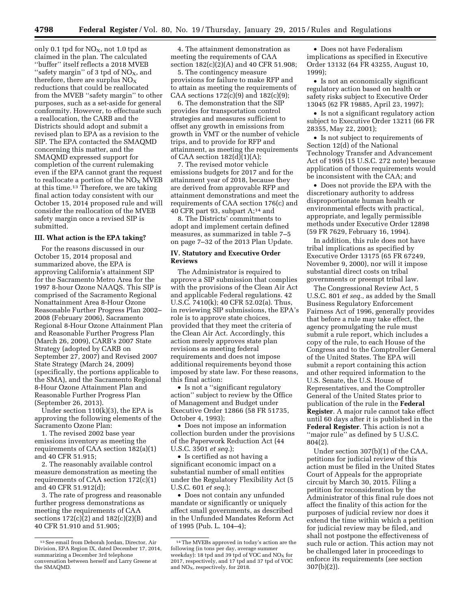only 0.1 tpd for  $NO<sub>x</sub>$ , not 1.0 tpd as claimed in the plan. The calculated ''buffer'' itself reflects a 2018 MVEB "safety margin" of 3 tpd of  $NO<sub>X</sub>$ , and therefore, there are surplus  $NO<sub>x</sub>$ reductions that could be reallocated from the MVEB ''safety margin'' to other purposes, such as a set-aside for general conformity. However, to effectuate such a reallocation, the CARB and the Districts should adopt and submit a revised plan to EPA as a revision to the SIP. The EPA contacted the SMAQMD concerning this matter, and the SMAQMD expressed support for completion of the current rulemaking even if the EPA cannot grant the request to reallocate a portion of the  $NO<sub>X</sub>$  MVEB at this time.13 Therefore, we are taking final action today consistent with our October 15, 2014 proposed rule and will consider the reallocation of the MVEB safety margin once a revised SIP is submitted.

## **III. What action is the EPA taking?**

For the reasons discussed in our October 15, 2014 proposal and summarized above, the EPA is approving California's attainment SIP for the Sacramento Metro Area for the 1997 8-hour Ozone NAAQS. This SIP is comprised of the Sacramento Regional Nonattainment Area 8-Hour Ozone Reasonable Further Progress Plan 2002– 2008 (February 2006), Sacramento Regional 8-Hour Ozone Attainment Plan and Reasonable Further Progress Plan (March 26, 2009), CARB's 2007 State Strategy (adopted by CARB on September 27, 2007) and Revised 2007 State Strategy (March 24, 2009) (specifically, the portions applicable to the SMA), and the Sacramento Regional 8-Hour Ozone Attainment Plan and Reasonable Further Progress Plan (September 26, 2013).

Under section  $110(k)(3)$ , the EPA is approving the following elements of the Sacramento Ozone Plan:

1. The revised 2002 base year emissions inventory as meeting the requirements of CAA section 182(a)(1) and 40 CFR 51.915;

2. The reasonably available control measure demonstration as meeting the requirements of CAA section 172(c)(1) and 40 CFR 51.912(d);

3. The rate of progress and reasonable further progress demonstrations as meeting the requirements of CAA sections 172(c)(2) and 182(c)(2)(B) and 40 CFR 51.910 and 51.905;

4. The attainment demonstration as meeting the requirements of CAA section 182(c)(2)(A) and 40 CFR 51.908;

5. The contingency measure provisions for failure to make RFP and to attain as meeting the requirements of CAA sections  $172(c)(9)$  and  $182(c)(9)$ ;

6. The demonstration that the SIP provides for transportation control strategies and measures sufficient to offset any growth in emissions from growth in VMT or the number of vehicle trips, and to provide for RFP and attainment, as meeting the requirements of CAA section  $182(d)(1)(A);$ 

7. The revised motor vehicle emissions budgets for 2017 and for the attainment year of 2018, because they are derived from approvable RFP and attainment demonstrations and meet the requirements of CAA section 176(c) and 40 CFR part 93, subpart A;14 and

8. The Districts' commitments to adopt and implement certain defined measures, as summarized in table 7–5 on page 7–32 of the 2013 Plan Update.

# **IV. Statutory and Executive Order Reviews**

The Administrator is required to approve a SIP submission that complies with the provisions of the Clean Air Act and applicable Federal regulations. 42 U.S.C. 7410(k); 40 CFR 52.02(a). Thus, in reviewing SIP submissions, the EPA's role is to approve state choices, provided that they meet the criteria of the Clean Air Act. Accordingly, this action merely approves state plan revisions as meeting federal requirements and does not impose additional requirements beyond those imposed by state law. For these reasons, this final action:

• Is not a "significant regulatory action'' subject to review by the Office of Management and Budget under Executive Order 12866 (58 FR 51735, October 4, 1993);

• Does not impose an information collection burden under the provisions of the Paperwork Reduction Act (44 U.S.C. 3501 *et seq.*);

• Is certified as not having a significant economic impact on a substantial number of small entities under the Regulatory Flexibility Act (5 U.S.C. 601 *et seq.*);

• Does not contain any unfunded mandate or significantly or uniquely affect small governments, as described in the Unfunded Mandates Reform Act of 1995 (Pub. L. 104–4);

• Does not have Federalism implications as specified in Executive Order 13132 (64 FR 43255, August 10, 1999);

• Is not an economically significant regulatory action based on health or safety risks subject to Executive Order 13045 (62 FR 19885, April 23, 1997);

• Is not a significant regulatory action subject to Executive Order 13211 (66 FR 28355, May 22, 2001);

• Is not subject to requirements of Section 12(d) of the National Technology Transfer and Advancement Act of 1995 (15 U.S.C. 272 note) because application of those requirements would be inconsistent with the CAA; and

• Does not provide the EPA with the discretionary authority to address disproportionate human health or environmental effects with practical, appropriate, and legally permissible methods under Executive Order 12898 (59 FR 7629, February 16, 1994).

In addition, this rule does not have tribal implications as specified by Executive Order 13175 (65 FR 67249, November 9, 2000), nor will it impose substantial direct costs on tribal governments or preempt tribal law.

The Congressional Review Act, 5 U.S.C. 801 *et seq.,* as added by the Small Business Regulatory Enforcement Fairness Act of 1996, generally provides that before a rule may take effect, the agency promulgating the rule must submit a rule report, which includes a copy of the rule, to each House of the Congress and to the Comptroller General of the United States. The EPA will submit a report containing this action and other required information to the U.S. Senate, the U.S. House of Representatives, and the Comptroller General of the United States prior to publication of the rule in the **Federal Register**. A major rule cannot take effect until 60 days after it is published in the **Federal Register**. This action is not a ''major rule'' as defined by 5 U.S.C. 804(2).

Under section 307(b)(1) of the CAA, petitions for judicial review of this action must be filed in the United States Court of Appeals for the appropriate circuit by March 30, 2015. Filing a petition for reconsideration by the Administrator of this final rule does not affect the finality of this action for the purposes of judicial review nor does it extend the time within which a petition for judicial review may be filed, and shall not postpone the effectiveness of such rule or action. This action may not be challenged later in proceedings to enforce its requirements (*see* section 307(b)(2)).

<sup>13</sup>See email from Deborah Jordan, Director, Air Division, EPA Region IX, dated December 17, 2014, summarizing a December 3rd telephone conversation between herself and Larry Greene at the SMAQMD.

<sup>14</sup>The MVEBs approved in today's action are the following (in tons per day, average summer weekday): 18 tpd and 39 tpd of VOC and  $NO<sub>x</sub>$  for 2017, respectively, and 17 tpd and 37 tpd of VOC and  $NO<sub>x</sub>$ , respectively, for 2018.